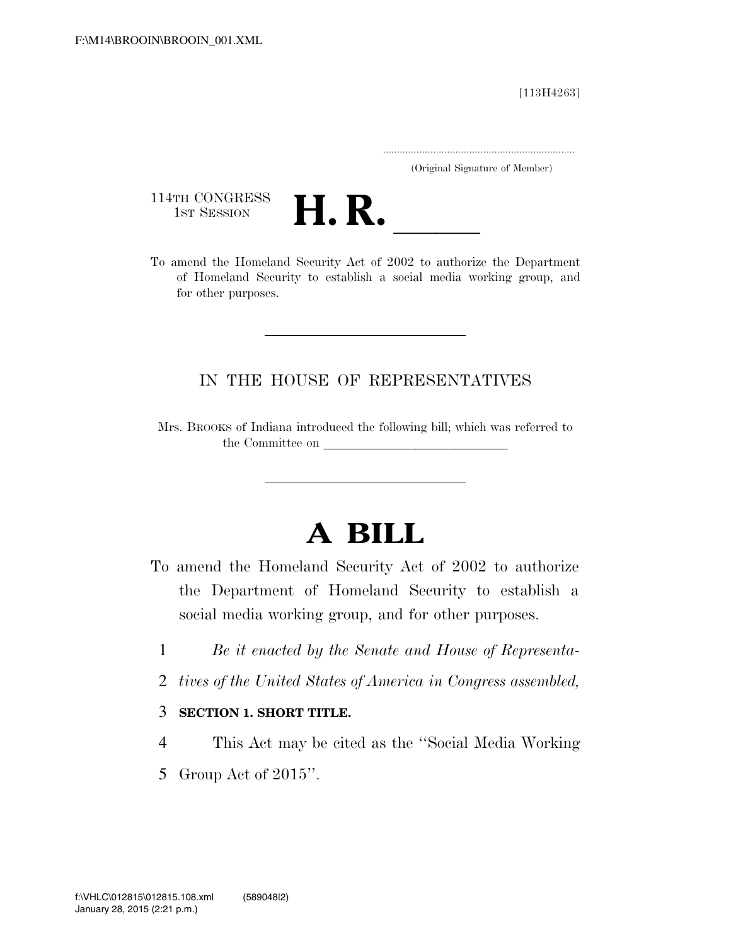[113H4263]

.....................................................................

(Original Signature of Member)

114TH CONGRESS<br>1st Session



114TH CONGRESS<br>1st SESSION<br>To amend the Homeland Security Act of 2002 to authorize the Department of Homeland Security to establish a social media working group, and for other purposes.

# IN THE HOUSE OF REPRESENTATIVES

Mrs. BROOKS of Indiana introduced the following bill; which was referred to the Committee on

# **A BILL**

- To amend the Homeland Security Act of 2002 to authorize the Department of Homeland Security to establish a social media working group, and for other purposes.
	- 1 *Be it enacted by the Senate and House of Representa-*
	- 2 *tives of the United States of America in Congress assembled,*

### 3 **SECTION 1. SHORT TITLE.**

- 4 This Act may be cited as the ''Social Media Working
- 5 Group Act of 2015''.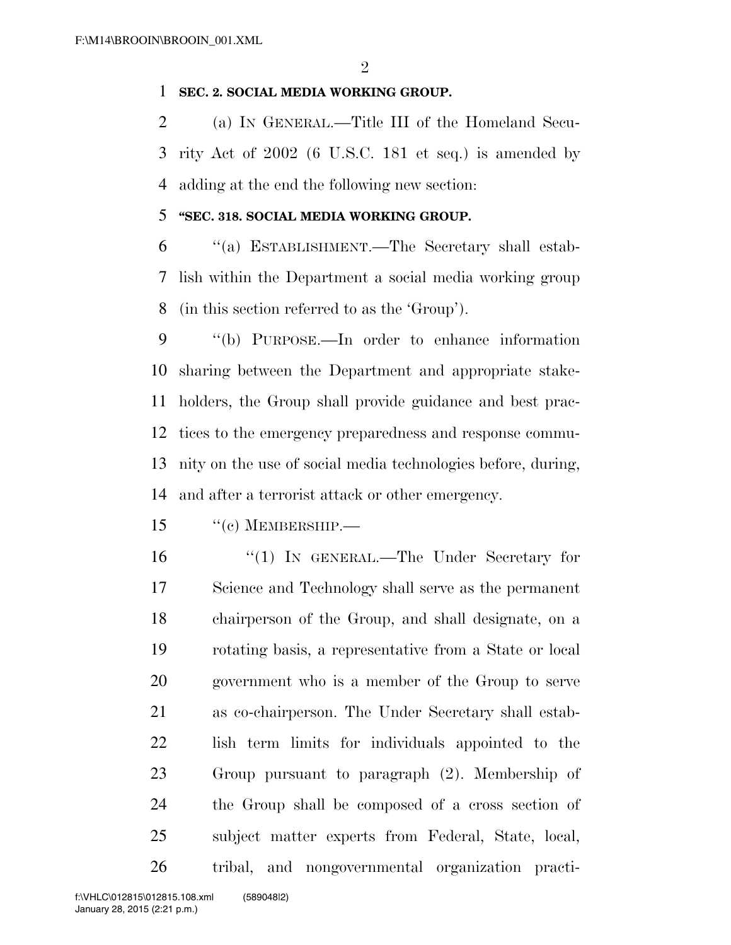## **SEC. 2. SOCIAL MEDIA WORKING GROUP.**

 (a) IN GENERAL.—Title III of the Homeland Secu- rity Act of 2002 (6 U.S.C. 181 et seq.) is amended by adding at the end the following new section:

## **''SEC. 318. SOCIAL MEDIA WORKING GROUP.**

 ''(a) ESTABLISHMENT.—The Secretary shall estab- lish within the Department a social media working group (in this section referred to as the 'Group').

 ''(b) PURPOSE.—In order to enhance information sharing between the Department and appropriate stake- holders, the Group shall provide guidance and best prac- tices to the emergency preparedness and response commu- nity on the use of social media technologies before, during, and after a terrorist attack or other emergency.

- ''(c) MEMBERSHIP.—
- 

16 "(1) In GENERAL.—The Under Secretary for Science and Technology shall serve as the permanent chairperson of the Group, and shall designate, on a rotating basis, a representative from a State or local government who is a member of the Group to serve as co-chairperson. The Under Secretary shall estab- lish term limits for individuals appointed to the Group pursuant to paragraph (2). Membership of the Group shall be composed of a cross section of subject matter experts from Federal, State, local, tribal, and nongovernmental organization practi-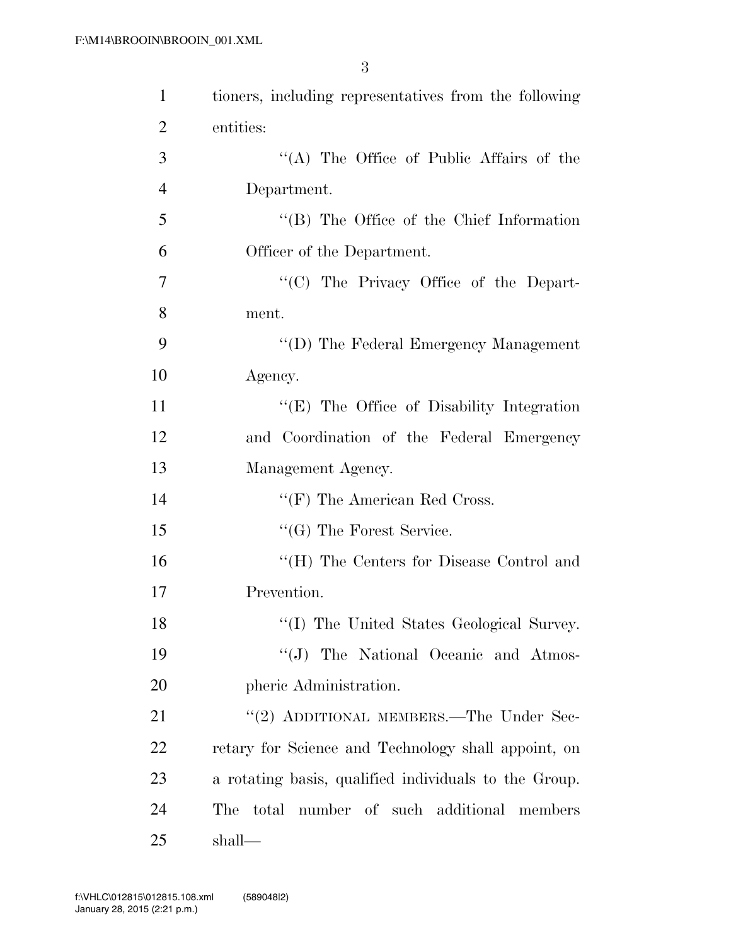| $\mathbf{1}$   | tioners, including representatives from the following |
|----------------|-------------------------------------------------------|
| $\overline{2}$ | entities:                                             |
| 3              | "(A) The Office of Public Affairs of the              |
| $\overline{4}$ | Department.                                           |
| 5              | $\lq\lq$ (B) The Office of the Chief Information      |
| 6              | Officer of the Department.                            |
| 7              | "(C) The Privacy Office of the Depart-                |
| 8              | ment.                                                 |
| 9              | "(D) The Federal Emergency Management                 |
| 10             | Agency.                                               |
| 11             | "(E) The Office of Disability Integration             |
| 12             | and Coordination of the Federal Emergency             |
| 13             | Management Agency.                                    |
| 14             | $\lq\lq(F)$ The American Red Cross.                   |
| 15             | "(G) The Forest Service.                              |
| 16             | "(H) The Centers for Disease Control and              |
| 17             | Prevention.                                           |
| 18             | "(I) The United States Geological Survey.             |
| 19             | "(J) The National Oceanic and Atmos-                  |
| 20             | pheric Administration.                                |
| 21             | "(2) ADDITIONAL MEMBERS.—The Under Sec-               |
| 22             | retary for Science and Technology shall appoint, on   |
| 23             | a rotating basis, qualified individuals to the Group. |
| 24             | total number of such additional members<br>The        |
| 25             | shall—                                                |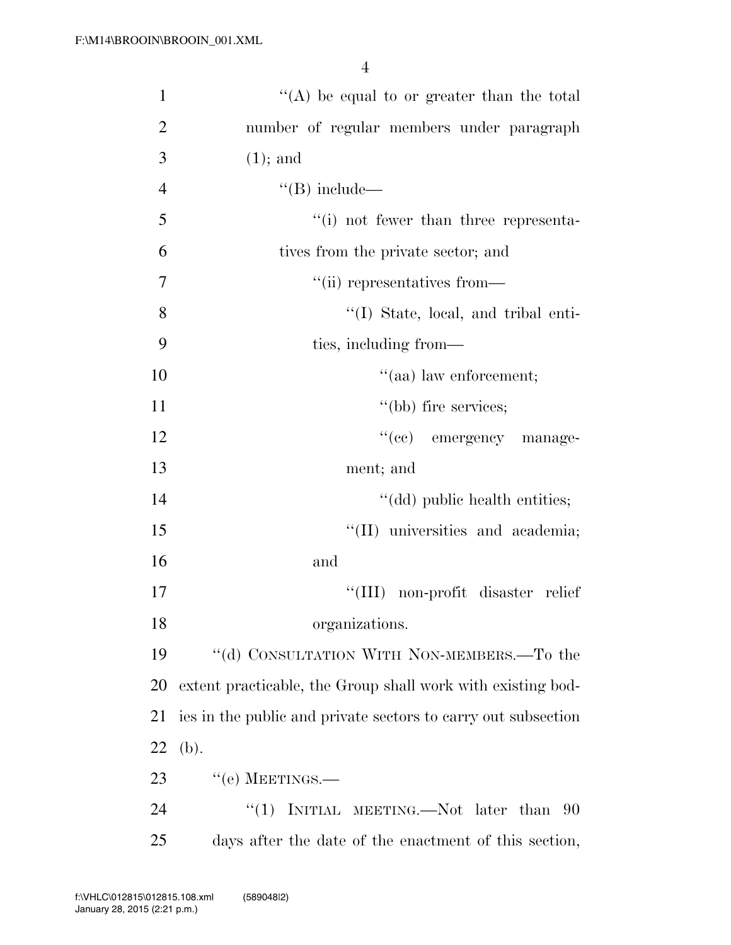| $\mathbf{1}$   | "(A) be equal to or greater than the total                    |
|----------------|---------------------------------------------------------------|
| $\overline{2}$ | number of regular members under paragraph                     |
| 3              | $(1)$ ; and                                                   |
| $\overline{4}$ | $\lq\lq (B)$ include—                                         |
| 5              | "(i) not fewer than three representa-                         |
| 6              | tives from the private sector; and                            |
| $\tau$         | "(ii) representatives from—                                   |
| 8              | "(I) State, local, and tribal enti-                           |
| 9              | ties, including from—                                         |
| 10             | $\cdot$ (aa) law enforcement;                                 |
| 11             | "(bb) fire services;                                          |
| 12             | "(cc) emergency manage-                                       |
| 13             | ment; and                                                     |
| 14             | "(dd) public health entities;                                 |
| 15             | "(II) universities and academia;                              |
| 16             | and                                                           |
| 17             | "(III) non-profit disaster relief                             |
| 18             | organizations.                                                |
| 19             | "(d) CONSULTATION WITH NON-MEMBERS.—To the                    |
| 20             | extent practicable, the Group shall work with existing bod-   |
| 21             | ies in the public and private sectors to carry out subsection |
| 22             | (b).                                                          |
| 23             | $``$ (e) MEETINGS.—                                           |
| 24             | INITIAL MEETING.—Not later than<br>``(1)<br>90                |
| 25             | days after the date of the enactment of this section,         |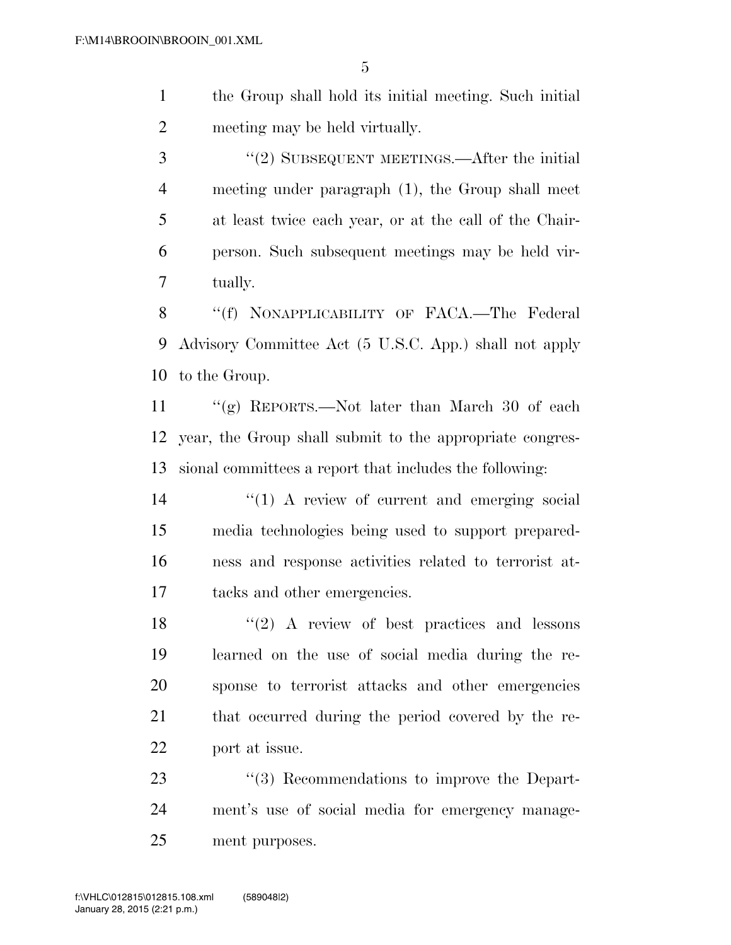the Group shall hold its initial meeting. Such initial meeting may be held virtually.

3 "(2) SUBSEQUENT MEETINGS.—After the initial meeting under paragraph (1), the Group shall meet at least twice each year, or at the call of the Chair- person. Such subsequent meetings may be held vir-tually.

8 "(f) NONAPPLICABILITY OF FACA.—The Federal Advisory Committee Act (5 U.S.C. App.) shall not apply to the Group.

 ''(g) REPORTS.—Not later than March 30 of each year, the Group shall submit to the appropriate congres-sional committees a report that includes the following:

 $(1)$  A review of current and emerging social media technologies being used to support prepared- ness and response activities related to terrorist at-tacks and other emergencies.

 $\langle \cdot (2) \rangle$  A review of best practices and lessons learned on the use of social media during the re- sponse to terrorist attacks and other emergencies that occurred during the period covered by the re-port at issue.

23 "(3) Recommendations to improve the Depart- ment's use of social media for emergency manage-ment purposes.